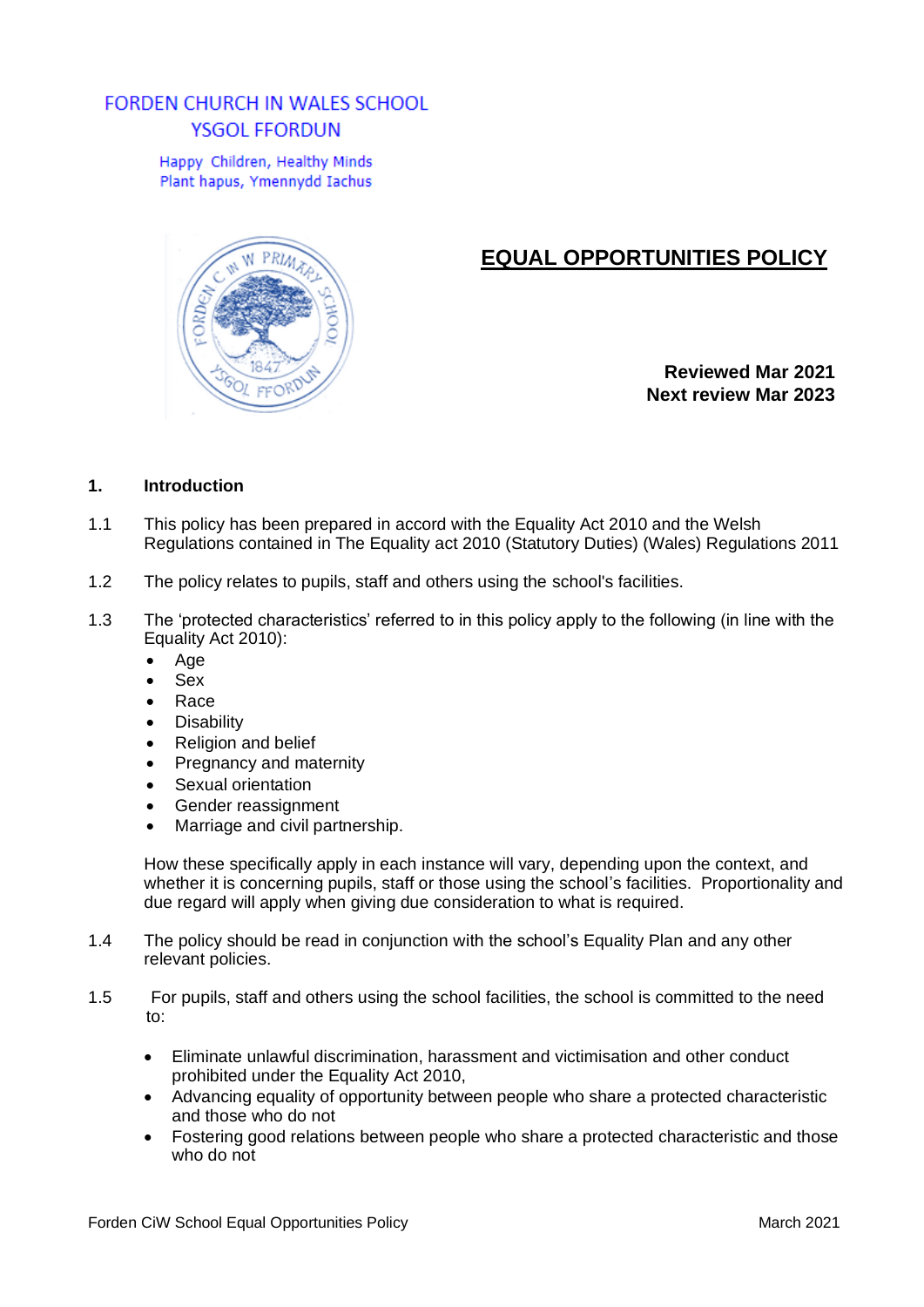# **FORDEN CHURCH IN WALES SCHOOL** YSGOL FFORDUN

Happy Children, Healthy Minds Plant hapus, Ymennydd Iachus



# **EQUAL OPPORTUNITIES POLICY**

**Reviewed Mar 2021 Next review Mar 2023**

### **1. Introduction**

- 1.1 This policy has been prepared in accord with the Equality Act 2010 and the Welsh Regulations contained in The Equality act 2010 (Statutory Duties) (Wales) Regulations 2011
- 1.2 The policy relates to pupils, staff and others using the school's facilities.
- 1.3 The 'protected characteristics' referred to in this policy apply to the following (in line with the Equality Act 2010):
	- Age
	- Sex
	- Race
	- Disability
	- Religion and belief
	- Pregnancy and maternity
	- Sexual orientation
	- Gender reassignment
	- Marriage and civil partnership.

How these specifically apply in each instance will vary, depending upon the context, and whether it is concerning pupils, staff or those using the school's facilities. Proportionality and due regard will apply when giving due consideration to what is required.

- 1.4 The policy should be read in conjunction with the school's Equality Plan and any other relevant policies.
- 1.5 For pupils, staff and others using the school facilities, the school is committed to the need to:
	- Eliminate unlawful discrimination, harassment and victimisation and other conduct prohibited under the Equality Act 2010,
	- Advancing equality of opportunity between people who share a protected characteristic and those who do not
	- Fostering good relations between people who share a protected characteristic and those who do not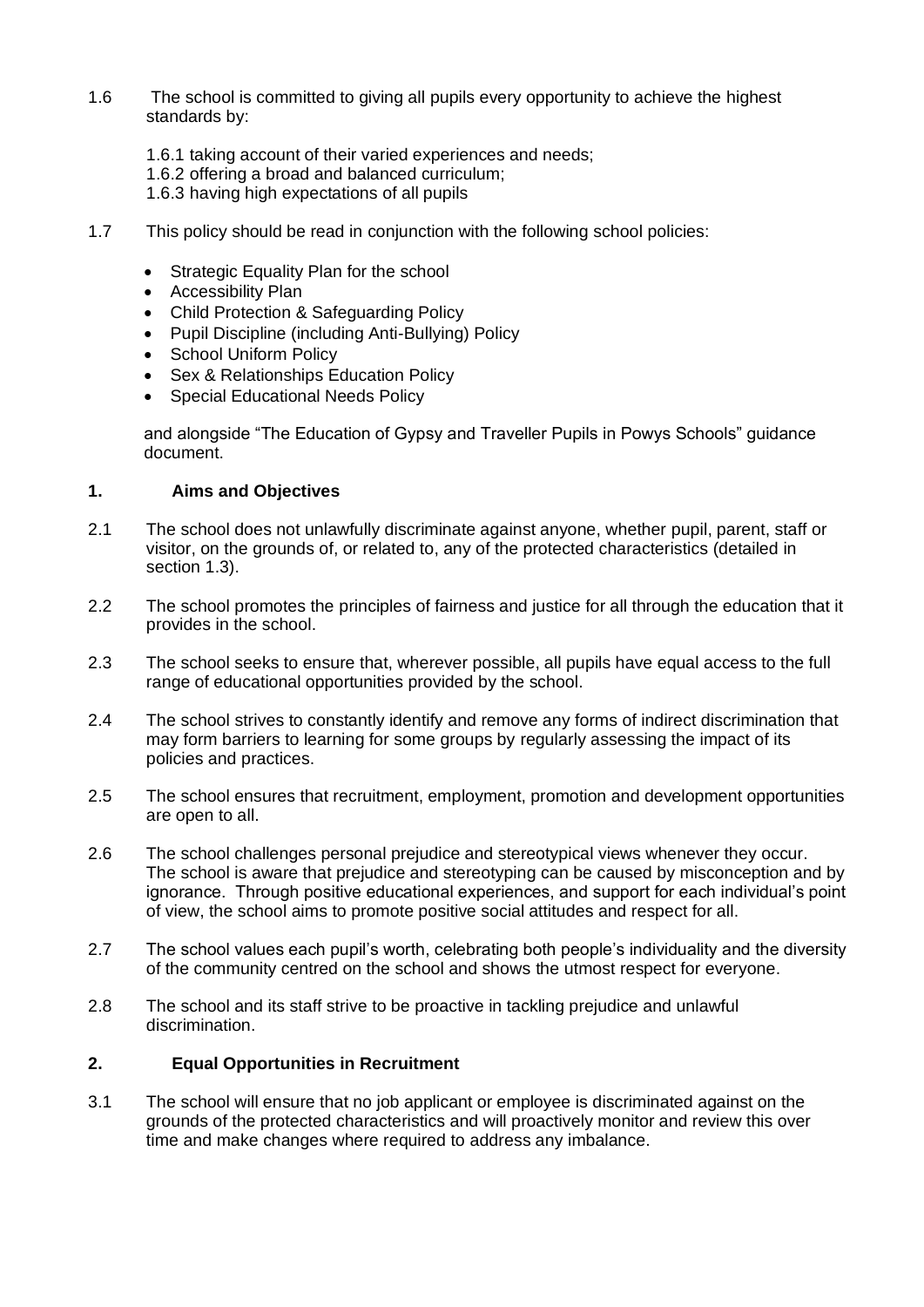- 1.6 The school is committed to giving all pupils every opportunity to achieve the highest standards by:
	- 1.6.1 taking account of their varied experiences and needs;
	- 1.6.2 offering a broad and balanced curriculum;
	- 1.6.3 having high expectations of all pupils
- 1.7 This policy should be read in conjunction with the following school policies:
	- Strategic Equality Plan for the school
	- Accessibility Plan
	- Child Protection & Safeguarding Policy
	- Pupil Discipline (including Anti-Bullying) Policy
	- School Uniform Policy
	- Sex & Relationships Education Policy
	- Special Educational Needs Policy

and alongside "The Education of Gypsy and Traveller Pupils in Powys Schools" guidance document.

### **1. Aims and Objectives**

- 2.1 The school does not unlawfully discriminate against anyone, whether pupil, parent, staff or visitor, on the grounds of, or related to, any of the protected characteristics (detailed in section 1.3).
- 2.2 The school promotes the principles of fairness and justice for all through the education that it provides in the school.
- 2.3 The school seeks to ensure that, wherever possible, all pupils have equal access to the full range of educational opportunities provided by the school.
- 2.4 The school strives to constantly identify and remove any forms of indirect discrimination that may form barriers to learning for some groups by regularly assessing the impact of its policies and practices.
- 2.5 The school ensures that recruitment, employment, promotion and development opportunities are open to all.
- 2.6 The school challenges personal prejudice and stereotypical views whenever they occur. The school is aware that prejudice and stereotyping can be caused by misconception and by ignorance. Through positive educational experiences, and support for each individual's point of view, the school aims to promote positive social attitudes and respect for all.
- 2.7 The school values each pupil's worth, celebrating both people's individuality and the diversity of the community centred on the school and shows the utmost respect for everyone.
- 2.8 The school and its staff strive to be proactive in tackling prejudice and unlawful discrimination.

### **2. Equal Opportunities in Recruitment**

3.1 The school will ensure that no job applicant or employee is discriminated against on the grounds of the protected characteristics and will proactively monitor and review this over time and make changes where required to address any imbalance.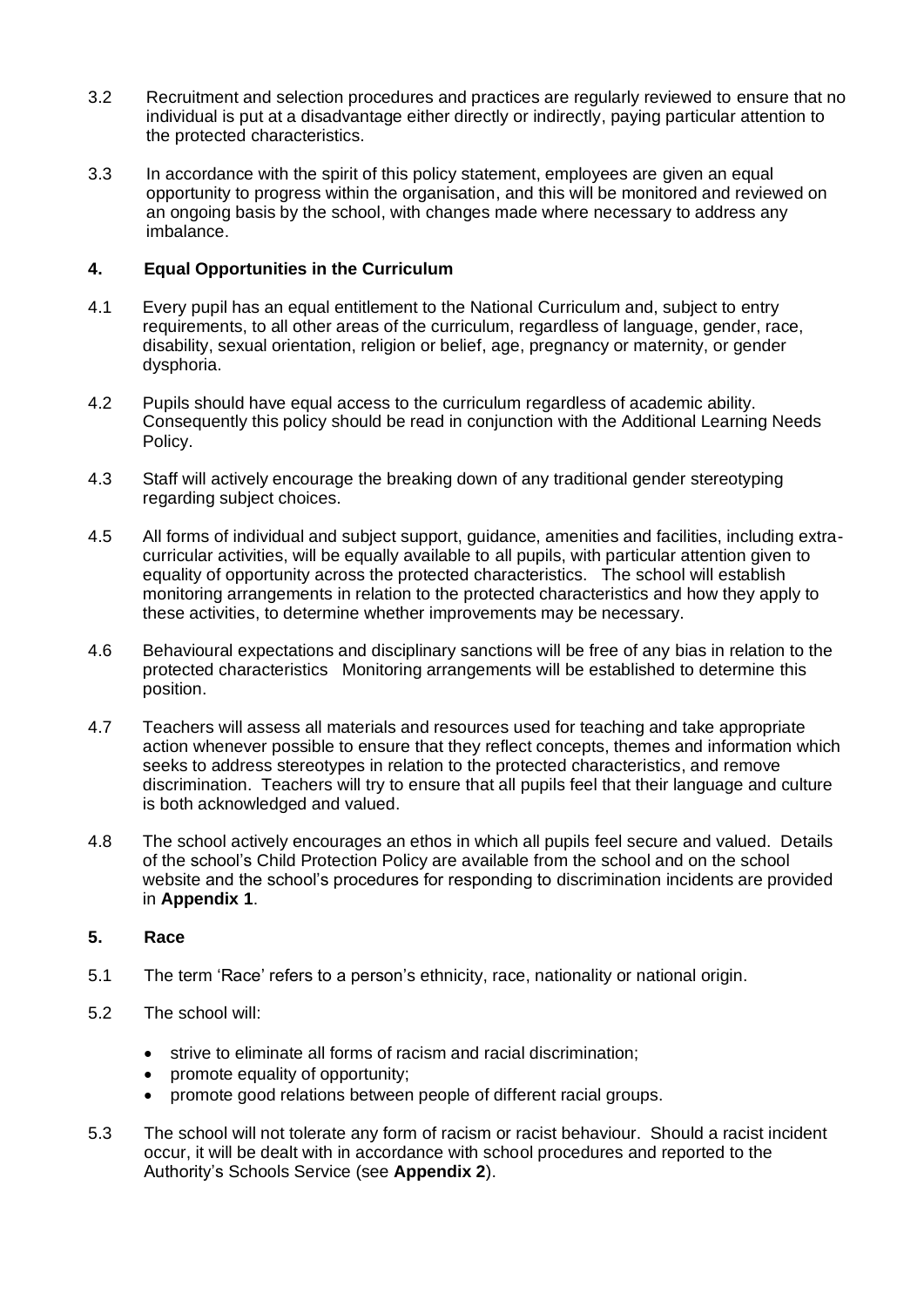- 3.2 Recruitment and selection procedures and practices are regularly reviewed to ensure that no individual is put at a disadvantage either directly or indirectly, paying particular attention to the protected characteristics.
- 3.3 In accordance with the spirit of this policy statement, employees are given an equal opportunity to progress within the organisation, and this will be monitored and reviewed on an ongoing basis by the school, with changes made where necessary to address any imbalance.

### **4. Equal Opportunities in the Curriculum**

- 4.1 Every pupil has an equal entitlement to the National Curriculum and, subject to entry requirements, to all other areas of the curriculum, regardless of language, gender, race, disability, sexual orientation, religion or belief, age, pregnancy or maternity, or gender dysphoria.
- 4.2 Pupils should have equal access to the curriculum regardless of academic ability. Consequently this policy should be read in conjunction with the Additional Learning Needs Policy.
- 4.3 Staff will actively encourage the breaking down of any traditional gender stereotyping regarding subject choices.
- 4.5 All forms of individual and subject support, guidance, amenities and facilities, including extracurricular activities, will be equally available to all pupils, with particular attention given to equality of opportunity across the protected characteristics. The school will establish monitoring arrangements in relation to the protected characteristics and how they apply to these activities, to determine whether improvements may be necessary.
- 4.6 Behavioural expectations and disciplinary sanctions will be free of any bias in relation to the protected characteristics Monitoring arrangements will be established to determine this position.
- 4.7 Teachers will assess all materials and resources used for teaching and take appropriate action whenever possible to ensure that they reflect concepts, themes and information which seeks to address stereotypes in relation to the protected characteristics, and remove discrimination. Teachers will try to ensure that all pupils feel that their language and culture is both acknowledged and valued.
- 4.8 The school actively encourages an ethos in which all pupils feel secure and valued. Details of the school's Child Protection Policy are available from the school and on the school website and the school's procedures for responding to discrimination incidents are provided in **Appendix 1**.

### **5. Race**

- 5.1 The term 'Race' refers to a person's ethnicity, race, nationality or national origin.
- 5.2 The school will:
	- strive to eliminate all forms of racism and racial discrimination;
	- promote equality of opportunity;
	- promote good relations between people of different racial groups.
- 5.3 The school will not tolerate any form of racism or racist behaviour. Should a racist incident occur, it will be dealt with in accordance with school procedures and reported to the Authority's Schools Service (see **Appendix 2**).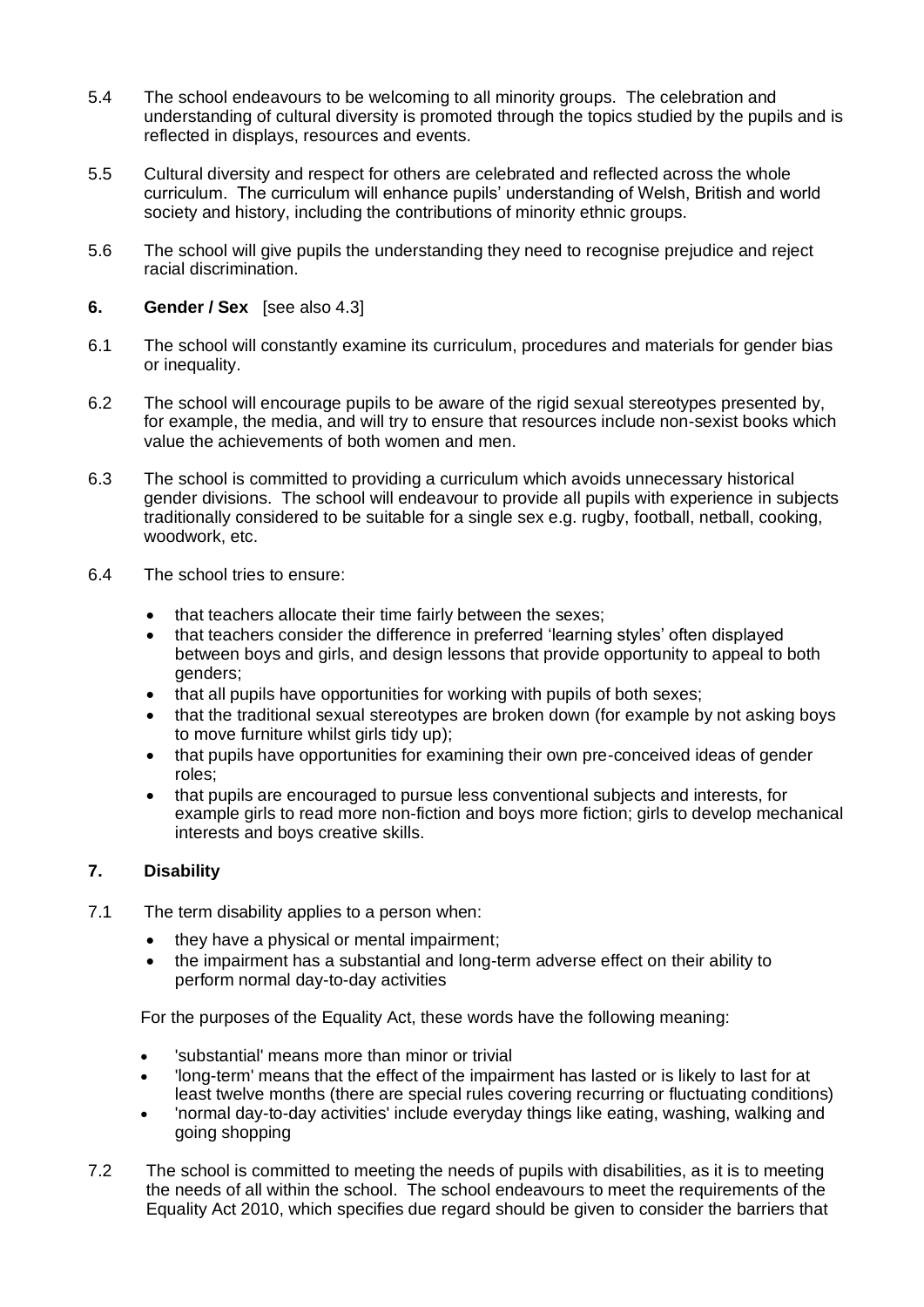- 5.4 The school endeavours to be welcoming to all minority groups. The celebration and understanding of cultural diversity is promoted through the topics studied by the pupils and is reflected in displays, resources and events.
- 5.5 Cultural diversity and respect for others are celebrated and reflected across the whole curriculum. The curriculum will enhance pupils' understanding of Welsh, British and world society and history, including the contributions of minority ethnic groups.
- 5.6 The school will give pupils the understanding they need to recognise prejudice and reject racial discrimination.
- **6. Gender / Sex** [see also 4.3]
- 6.1 The school will constantly examine its curriculum, procedures and materials for gender bias or inequality.
- 6.2 The school will encourage pupils to be aware of the rigid sexual stereotypes presented by, for example, the media, and will try to ensure that resources include non-sexist books which value the achievements of both women and men.
- 6.3 The school is committed to providing a curriculum which avoids unnecessary historical gender divisions. The school will endeavour to provide all pupils with experience in subjects traditionally considered to be suitable for a single sex e.g. rugby, football, netball, cooking, woodwork, etc.
- 6.4 The school tries to ensure:
	- that teachers allocate their time fairly between the sexes;
	- that teachers consider the difference in preferred 'learning styles' often displayed between boys and girls, and design lessons that provide opportunity to appeal to both genders;
	- that all pupils have opportunities for working with pupils of both sexes;
	- that the traditional sexual stereotypes are broken down (for example by not asking boys to move furniture whilst girls tidy up);
	- that pupils have opportunities for examining their own pre-conceived ideas of gender roles;
	- that pupils are encouraged to pursue less conventional subjects and interests, for example girls to read more non-fiction and boys more fiction; girls to develop mechanical interests and boys creative skills.

## **7. Disability**

- 7.1 The term disability applies to a person when:
	- they have a physical or mental impairment;
	- the impairment has a substantial and long-term adverse effect on their ability to perform normal day-to-day activities

For the purposes of the Equality Act, these words have the following meaning:

- 'substantial' means more than minor or trivial
- 'long-term' means that the effect of the impairment has lasted or is likely to last for at least twelve months (there are special rules covering recurring or fluctuating conditions)
- 'normal day-to-day activities' include everyday things like eating, washing, walking and going shopping
- 7.2 The school is committed to meeting the needs of pupils with disabilities, as it is to meeting the needs of all within the school. The school endeavours to meet the requirements of the Equality Act 2010, which specifies due regard should be given to consider the barriers that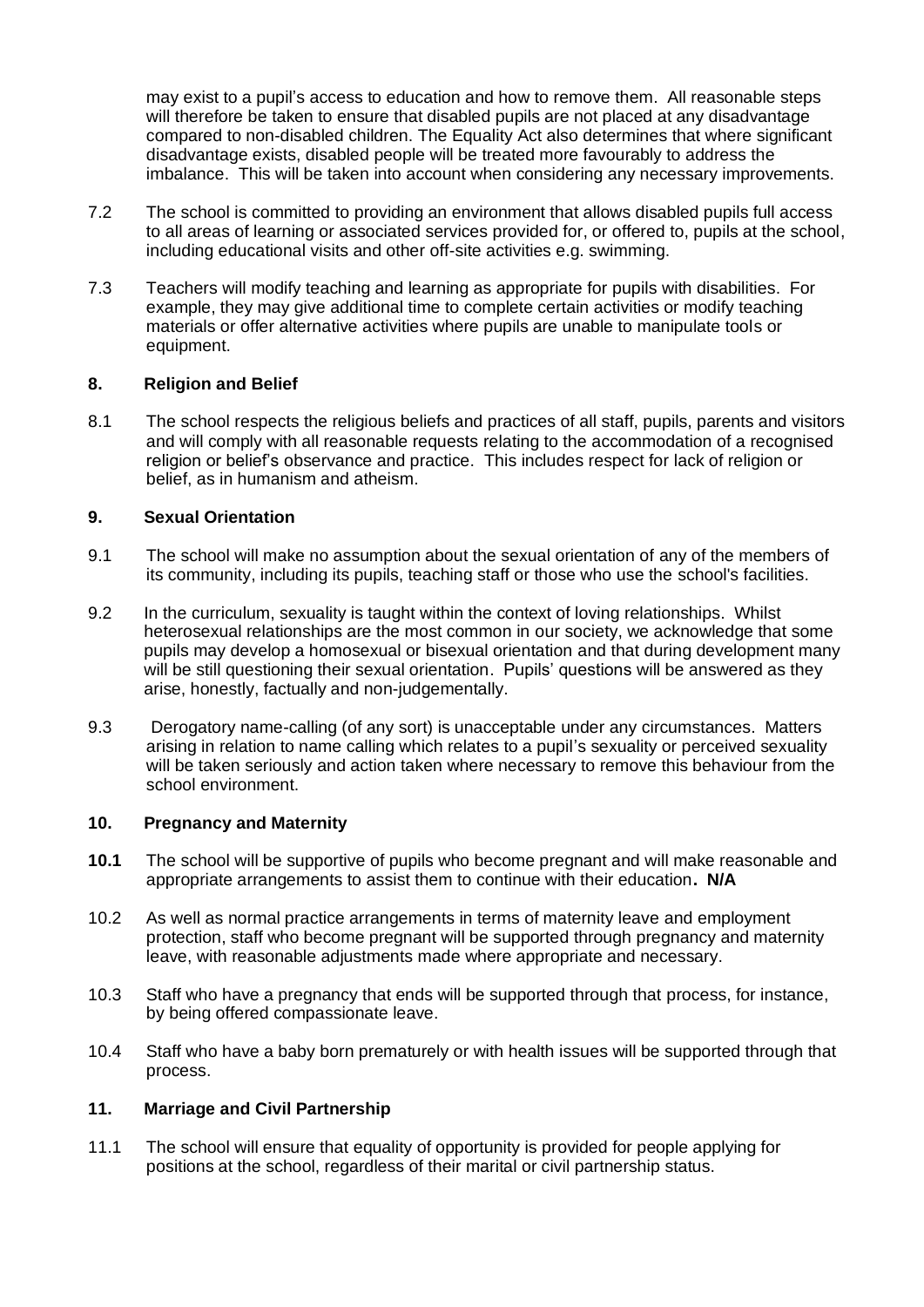may exist to a pupil's access to education and how to remove them. All reasonable steps will therefore be taken to ensure that disabled pupils are not placed at any disadvantage compared to non-disabled children. The Equality Act also determines that where significant disadvantage exists, disabled people will be treated more favourably to address the imbalance. This will be taken into account when considering any necessary improvements.

- 7.2 The school is committed to providing an environment that allows disabled pupils full access to all areas of learning or associated services provided for, or offered to, pupils at the school, including educational visits and other off-site activities e.g. swimming.
- 7.3 Teachers will modify teaching and learning as appropriate for pupils with disabilities. For example, they may give additional time to complete certain activities or modify teaching materials or offer alternative activities where pupils are unable to manipulate tools or equipment.

### **8. Religion and Belief**

8.1 The school respects the religious beliefs and practices of all staff, pupils, parents and visitors and will comply with all reasonable requests relating to the accommodation of a recognised religion or belief's observance and practice. This includes respect for lack of religion or belief, as in humanism and atheism.

### **9. Sexual Orientation**

- 9.1 The school will make no assumption about the sexual orientation of any of the members of its community, including its pupils, teaching staff or those who use the school's facilities.
- 9.2 In the curriculum, sexuality is taught within the context of loving relationships. Whilst heterosexual relationships are the most common in our society, we acknowledge that some pupils may develop a homosexual or bisexual orientation and that during development many will be still questioning their sexual orientation. Pupils' questions will be answered as they arise, honestly, factually and non-judgementally.
- 9.3 Derogatory name-calling (of any sort) is unacceptable under any circumstances. Matters arising in relation to name calling which relates to a pupil's sexuality or perceived sexuality will be taken seriously and action taken where necessary to remove this behaviour from the school environment.

#### **10. Pregnancy and Maternity**

- **10.1** The school will be supportive of pupils who become pregnant and will make reasonable and appropriate arrangements to assist them to continue with their education**. N/A**
- 10.2 As well as normal practice arrangements in terms of maternity leave and employment protection, staff who become pregnant will be supported through pregnancy and maternity leave, with reasonable adjustments made where appropriate and necessary.
- 10.3 Staff who have a pregnancy that ends will be supported through that process, for instance, by being offered compassionate leave.
- 10.4 Staff who have a baby born prematurely or with health issues will be supported through that process.

#### **11. Marriage and Civil Partnership**

11.1 The school will ensure that equality of opportunity is provided for people applying for positions at the school, regardless of their marital or civil partnership status.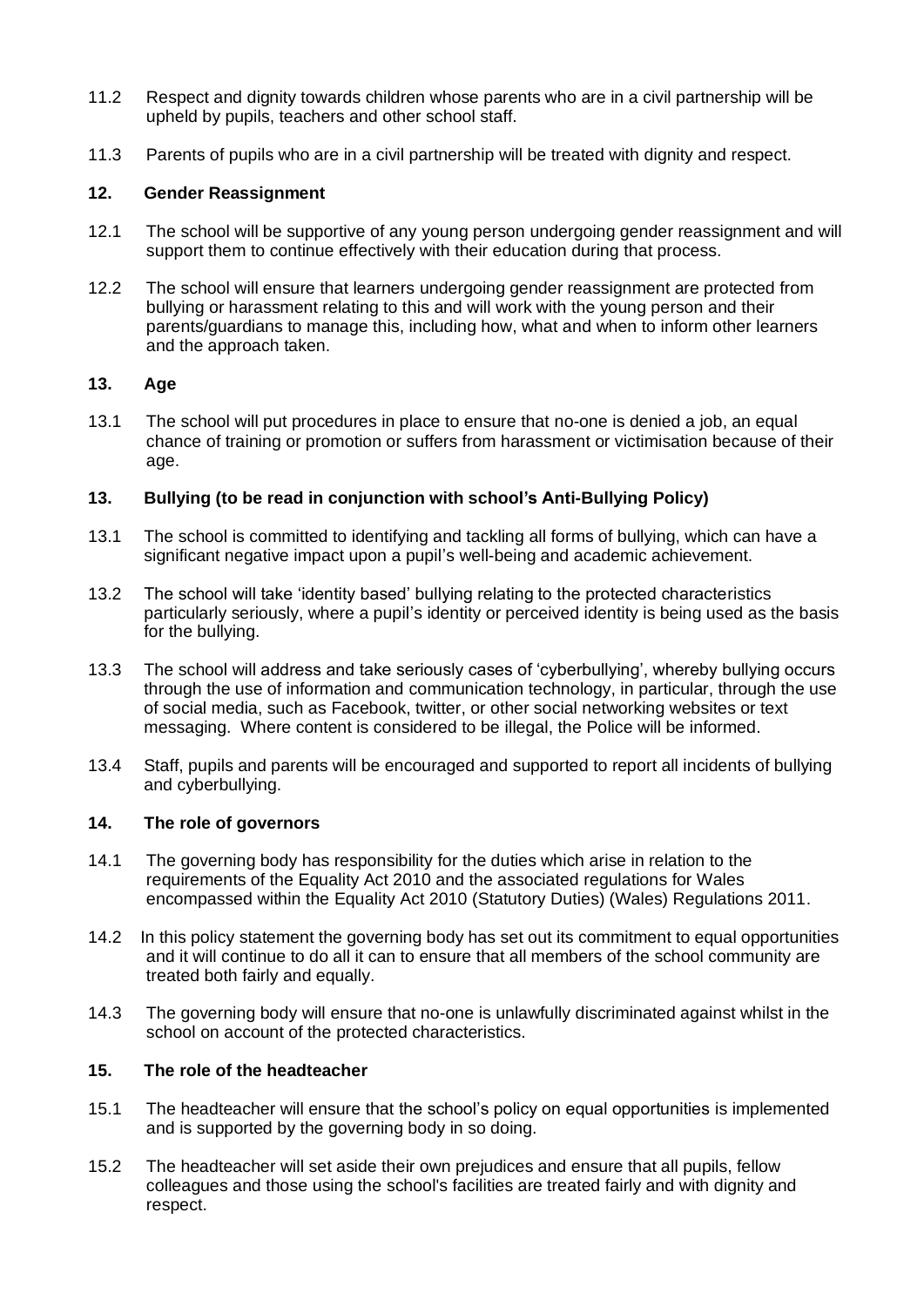- 11.2 Respect and dignity towards children whose parents who are in a civil partnership will be upheld by pupils, teachers and other school staff.
- 11.3 Parents of pupils who are in a civil partnership will be treated with dignity and respect.

### **12. Gender Reassignment**

- 12.1 The school will be supportive of any young person undergoing gender reassignment and will support them to continue effectively with their education during that process.
- 12.2 The school will ensure that learners undergoing gender reassignment are protected from bullying or harassment relating to this and will work with the young person and their parents/guardians to manage this, including how, what and when to inform other learners and the approach taken.

### **13. Age**

13.1 The school will put procedures in place to ensure that no-one is denied a job, an equal chance of training or promotion or suffers from harassment or victimisation because of their age.

### **13. Bullying (to be read in conjunction with school's Anti-Bullying Policy)**

- 13.1 The school is committed to identifying and tackling all forms of bullying, which can have a significant negative impact upon a pupil's well-being and academic achievement.
- 13.2 The school will take 'identity based' bullying relating to the protected characteristics particularly seriously, where a pupil's identity or perceived identity is being used as the basis for the bullying.
- 13.3 The school will address and take seriously cases of 'cyberbullying', whereby bullying occurs through the use of information and communication technology, in particular, through the use of social media, such as Facebook, twitter, or other social networking websites or text messaging. Where content is considered to be illegal, the Police will be informed.
- 13.4 Staff, pupils and parents will be encouraged and supported to report all incidents of bullying and cyberbullying.

### **14. The role of governors**

- 14.1 The governing body has responsibility for the duties which arise in relation to the requirements of the Equality Act 2010 and the associated regulations for Wales encompassed within the Equality Act 2010 (Statutory Duties) (Wales) Regulations 2011.
- 14.2 In this policy statement the governing body has set out its commitment to equal opportunities and it will continue to do all it can to ensure that all members of the school community are treated both fairly and equally.
- 14.3 The governing body will ensure that no-one is unlawfully discriminated against whilst in the school on account of the protected characteristics.

### **15. The role of the headteacher**

- 15.1 The headteacher will ensure that the school's policy on equal opportunities is implemented and is supported by the governing body in so doing.
- 15.2 The headteacher will set aside their own prejudices and ensure that all pupils, fellow colleagues and those using the school's facilities are treated fairly and with dignity and respect.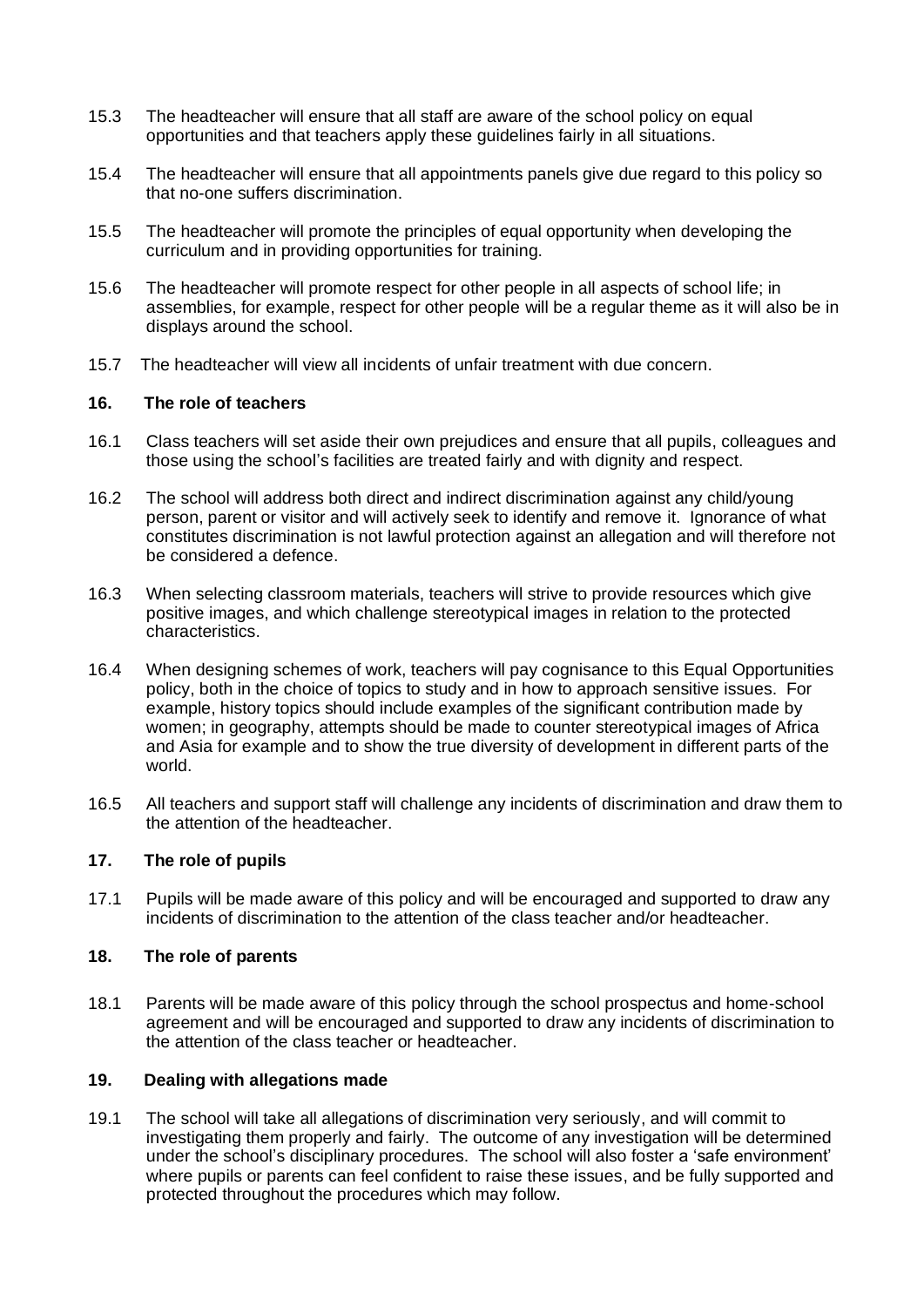- 15.3 The headteacher will ensure that all staff are aware of the school policy on equal opportunities and that teachers apply these guidelines fairly in all situations.
- 15.4 The headteacher will ensure that all appointments panels give due regard to this policy so that no-one suffers discrimination.
- 15.5 The headteacher will promote the principles of equal opportunity when developing the curriculum and in providing opportunities for training.
- 15.6 The headteacher will promote respect for other people in all aspects of school life; in assemblies, for example, respect for other people will be a regular theme as it will also be in displays around the school.
- 15.7 The headteacher will view all incidents of unfair treatment with due concern.

### **16. The role of teachers**

- 16.1 Class teachers will set aside their own prejudices and ensure that all pupils, colleagues and those using the school's facilities are treated fairly and with dignity and respect.
- 16.2 The school will address both direct and indirect discrimination against any child/young person, parent or visitor and will actively seek to identify and remove it. Ignorance of what constitutes discrimination is not lawful protection against an allegation and will therefore not be considered a defence.
- 16.3 When selecting classroom materials, teachers will strive to provide resources which give positive images, and which challenge stereotypical images in relation to the protected characteristics.
- 16.4 When designing schemes of work, teachers will pay cognisance to this Equal Opportunities policy, both in the choice of topics to study and in how to approach sensitive issues. For example, history topics should include examples of the significant contribution made by women; in geography, attempts should be made to counter stereotypical images of Africa and Asia for example and to show the true diversity of development in different parts of the world.
- 16.5 All teachers and support staff will challenge any incidents of discrimination and draw them to the attention of the headteacher.

### **17. The role of pupils**

17.1 Pupils will be made aware of this policy and will be encouraged and supported to draw any incidents of discrimination to the attention of the class teacher and/or headteacher.

#### **18. The role of parents**

18.1 Parents will be made aware of this policy through the school prospectus and home-school agreement and will be encouraged and supported to draw any incidents of discrimination to the attention of the class teacher or headteacher.

#### **19. Dealing with allegations made**

19.1 The school will take all allegations of discrimination very seriously, and will commit to investigating them properly and fairly. The outcome of any investigation will be determined under the school's disciplinary procedures. The school will also foster a 'safe environment' where pupils or parents can feel confident to raise these issues, and be fully supported and protected throughout the procedures which may follow.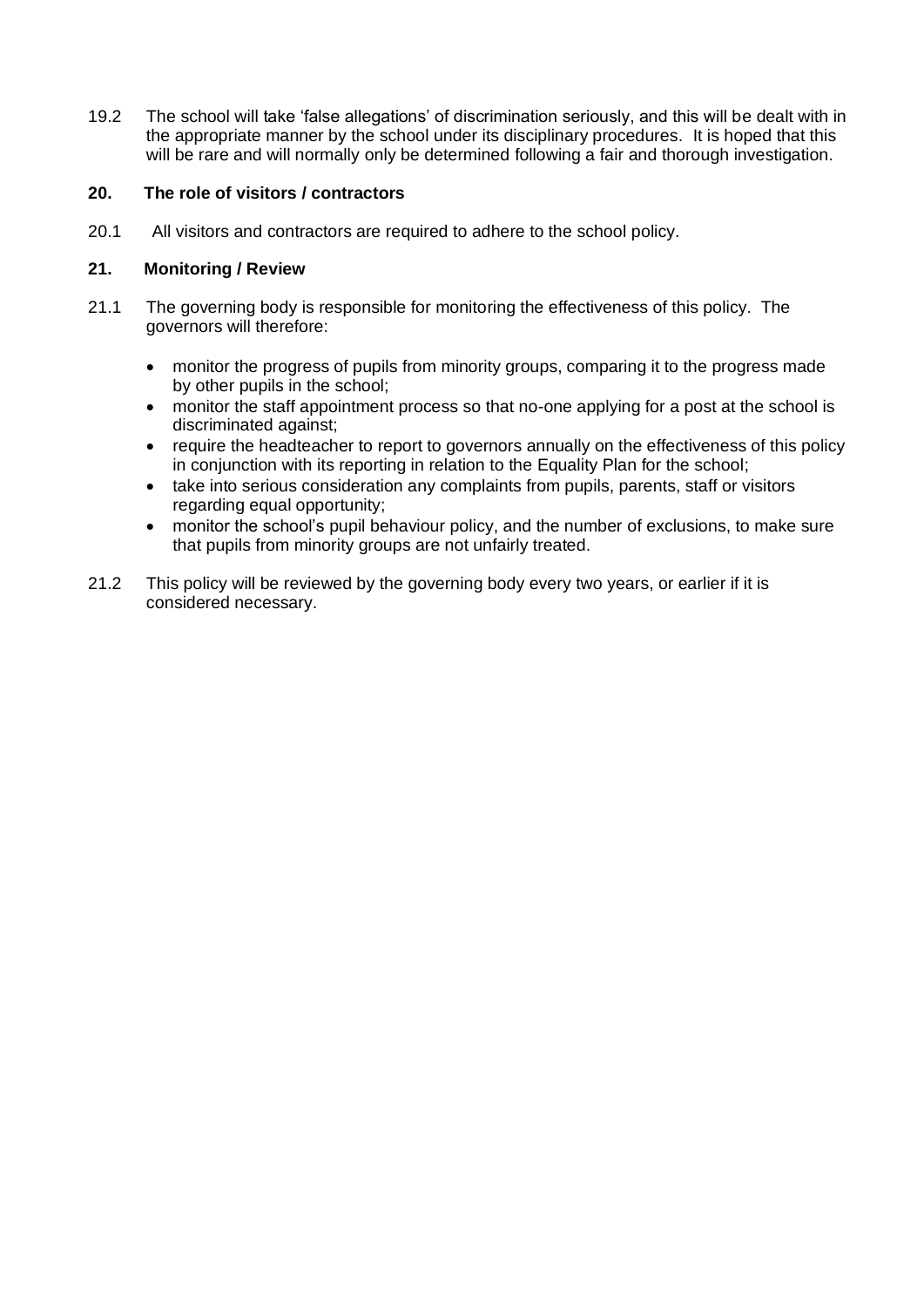19.2 The school will take 'false allegations' of discrimination seriously, and this will be dealt with in the appropriate manner by the school under its disciplinary procedures. It is hoped that this will be rare and will normally only be determined following a fair and thorough investigation.

### **20. The role of visitors / contractors**

20.1 All visitors and contractors are required to adhere to the school policy.

### **21. Monitoring / Review**

- 21.1 The governing body is responsible for monitoring the effectiveness of this policy. The governors will therefore:
	- monitor the progress of pupils from minority groups, comparing it to the progress made by other pupils in the school;
	- monitor the staff appointment process so that no-one applying for a post at the school is discriminated against;
	- require the headteacher to report to governors annually on the effectiveness of this policy in conjunction with its reporting in relation to the Equality Plan for the school;
	- take into serious consideration any complaints from pupils, parents, staff or visitors regarding equal opportunity;
	- monitor the school's pupil behaviour policy, and the number of exclusions, to make sure that pupils from minority groups are not unfairly treated.
- 21.2 This policy will be reviewed by the governing body every two years, or earlier if it is considered necessary.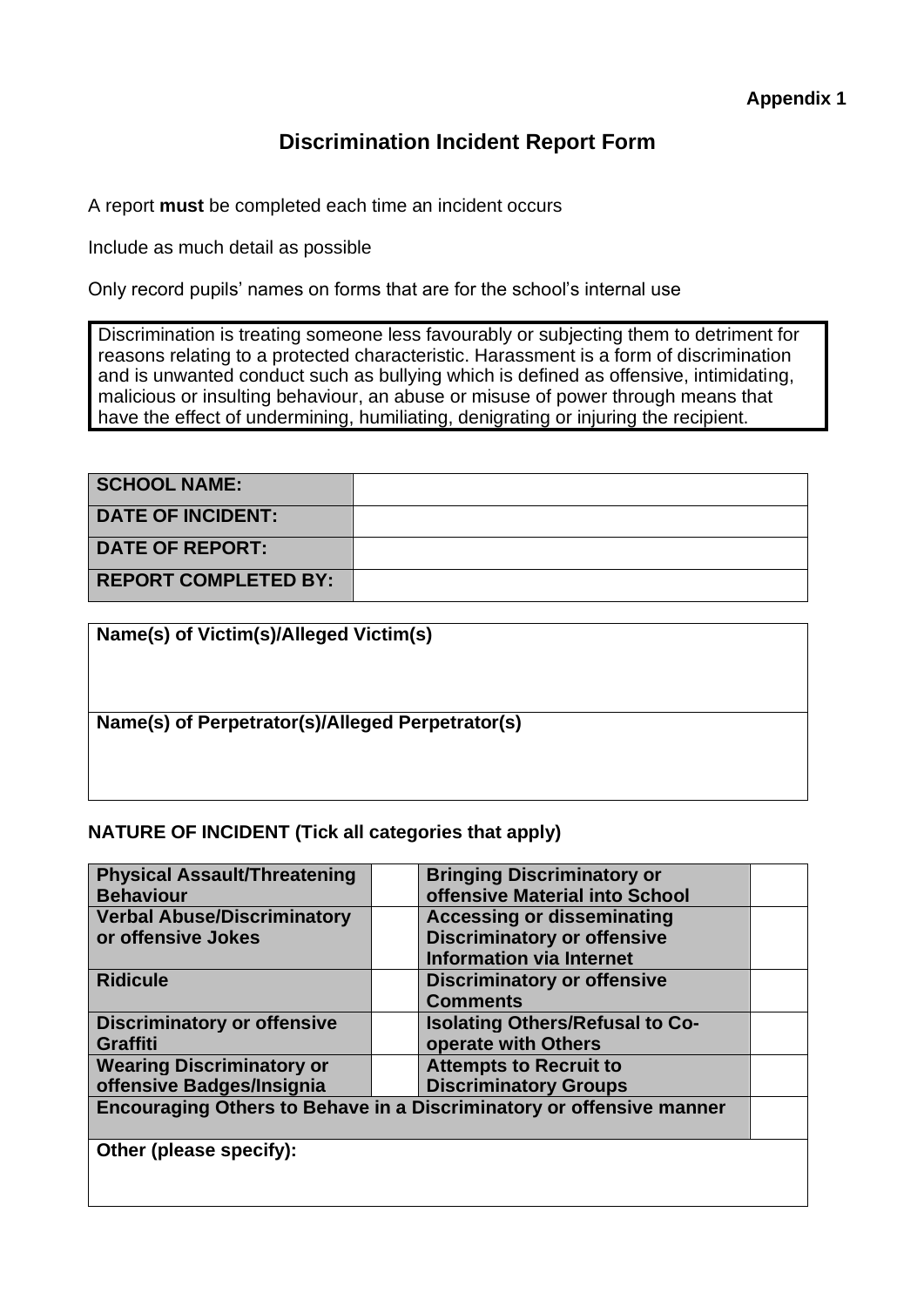# **Discrimination Incident Report Form**

A report **must** be completed each time an incident occurs

Include as much detail as possible

Only record pupils' names on forms that are for the school's internal use

Discrimination is treating someone less favourably or subjecting them to detriment for reasons relating to a protected characteristic. Harassment is a form of discrimination and is unwanted conduct such as bullying which is defined as offensive, intimidating, malicious or insulting behaviour, an abuse or misuse of power through means that have the effect of undermining, humiliating, denigrating or injuring the recipient.

| <b>SCHOOL NAME:</b>         |  |
|-----------------------------|--|
| <b>DATE OF INCIDENT:</b>    |  |
| <b>DATE OF REPORT:</b>      |  |
| <b>REPORT COMPLETED BY:</b> |  |

| Name(s) of Victim(s)/Alleged Victim(s)           |
|--------------------------------------------------|
| Name(s) of Perpetrator(s)/Alleged Perpetrator(s) |

## **NATURE OF INCIDENT (Tick all categories that apply)**

| <b>Physical Assault/Threatening</b> | <b>Bringing Discriminatory or</b>                                    |  |
|-------------------------------------|----------------------------------------------------------------------|--|
| <b>Behaviour</b>                    | offensive Material into School                                       |  |
| <b>Verbal Abuse/Discriminatory</b>  | <b>Accessing or disseminating</b>                                    |  |
| or offensive Jokes                  | <b>Discriminatory or offensive</b>                                   |  |
|                                     | <b>Information via Internet</b>                                      |  |
| <b>Ridicule</b>                     | <b>Discriminatory or offensive</b>                                   |  |
|                                     | <b>Comments</b>                                                      |  |
| <b>Discriminatory or offensive</b>  | <b>Isolating Others/Refusal to Co-</b>                               |  |
| <b>Graffiti</b>                     | operate with Others                                                  |  |
| <b>Wearing Discriminatory or</b>    | <b>Attempts to Recruit to</b>                                        |  |
| offensive Badges/Insignia           | <b>Discriminatory Groups</b>                                         |  |
|                                     | Encouraging Others to Behave in a Discriminatory or offensive manner |  |
|                                     |                                                                      |  |
| Other (please specify):             |                                                                      |  |
|                                     |                                                                      |  |
|                                     |                                                                      |  |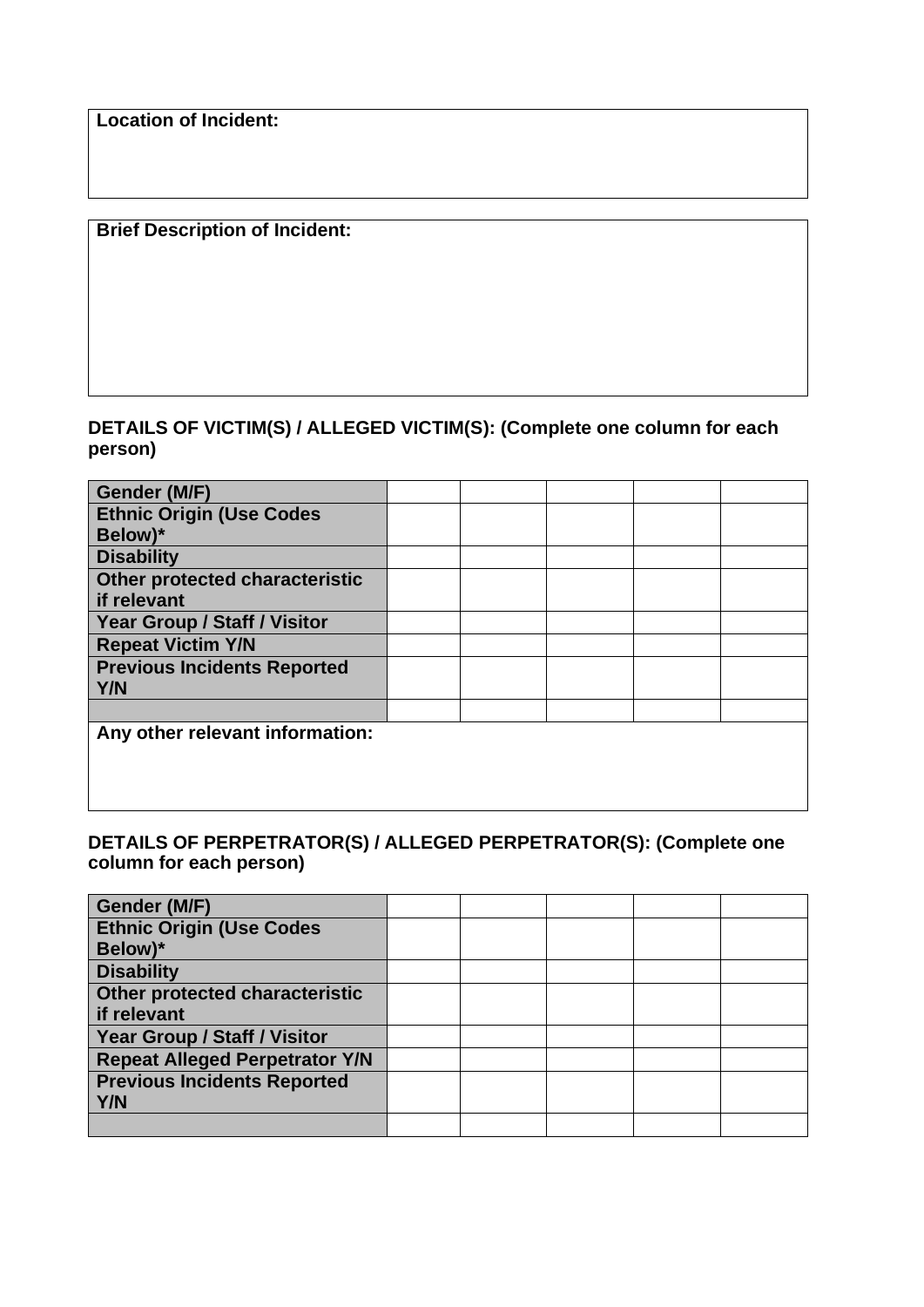**Location of Incident:**

## **Brief Description of Incident:**

## **DETAILS OF VICTIM(S) / ALLEGED VICTIM(S): (Complete one column for each person)**

| Gender (M/F)                        |  |  |  |
|-------------------------------------|--|--|--|
| <b>Ethnic Origin (Use Codes</b>     |  |  |  |
| Below)*                             |  |  |  |
| <b>Disability</b>                   |  |  |  |
| Other protected characteristic      |  |  |  |
| if relevant                         |  |  |  |
| <b>Year Group / Staff / Visitor</b> |  |  |  |
| <b>Repeat Victim Y/N</b>            |  |  |  |
| <b>Previous Incidents Reported</b>  |  |  |  |
| Y/N                                 |  |  |  |
|                                     |  |  |  |
| Any other relevant information:     |  |  |  |
|                                     |  |  |  |
|                                     |  |  |  |
|                                     |  |  |  |

## **DETAILS OF PERPETRATOR(S) / ALLEGED PERPETRATOR(S): (Complete one column for each person)**

| Gender (M/F)                          |  |  |  |
|---------------------------------------|--|--|--|
| <b>Ethnic Origin (Use Codes</b>       |  |  |  |
| Below)*                               |  |  |  |
| <b>Disability</b>                     |  |  |  |
| Other protected characteristic        |  |  |  |
| if relevant                           |  |  |  |
| <b>Year Group / Staff / Visitor</b>   |  |  |  |
| <b>Repeat Alleged Perpetrator Y/N</b> |  |  |  |
| <b>Previous Incidents Reported</b>    |  |  |  |
| <b>Y/N</b>                            |  |  |  |
|                                       |  |  |  |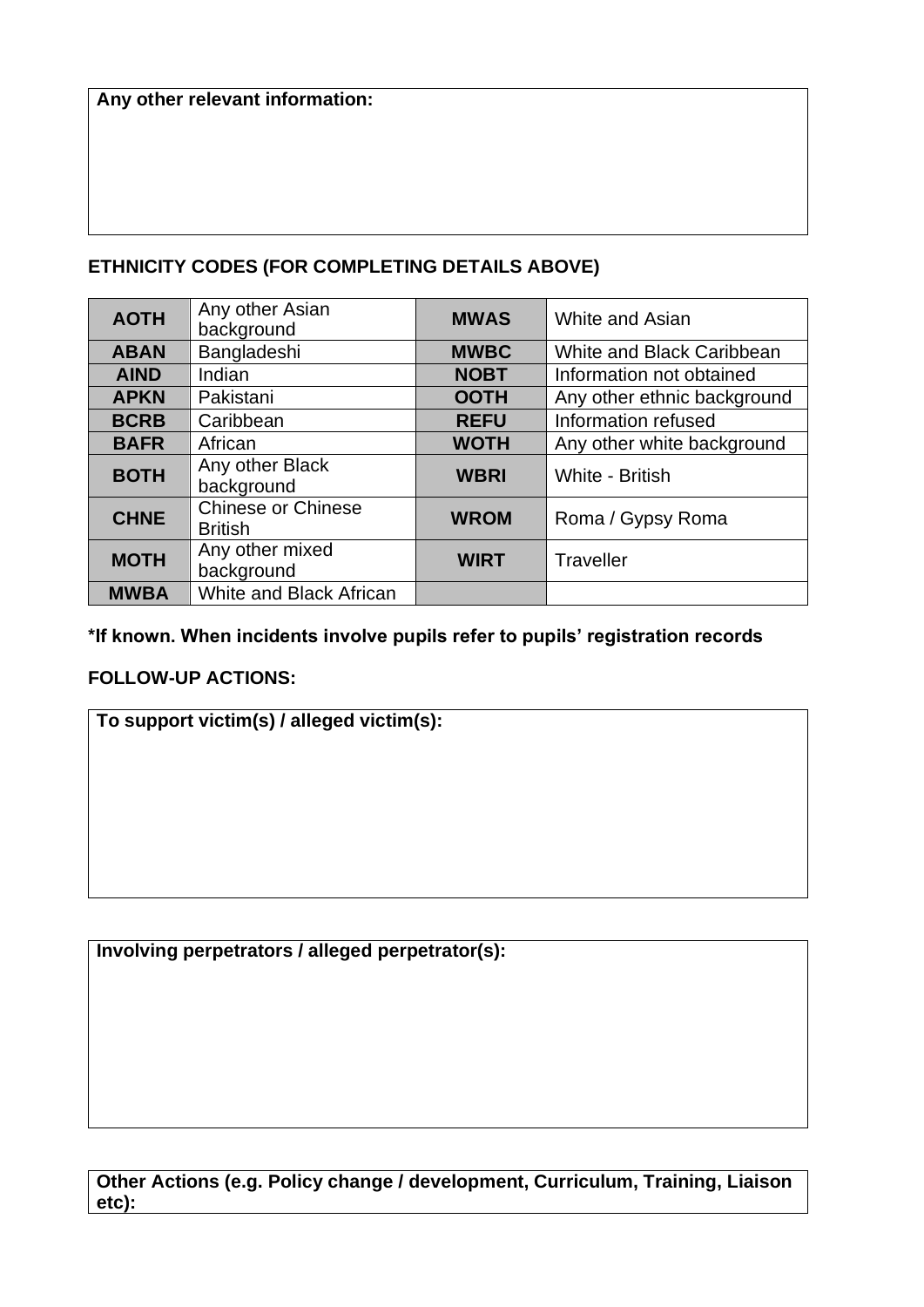# **ETHNICITY CODES (FOR COMPLETING DETAILS ABOVE)**

| <b>AOTH</b> | Any other Asian<br>background        | <b>MWAS</b> | <b>White and Asian</b>      |
|-------------|--------------------------------------|-------------|-----------------------------|
| <b>ABAN</b> | Bangladeshi                          | <b>MWBC</b> | White and Black Caribbean   |
| <b>AIND</b> | Indian                               | <b>NOBT</b> | Information not obtained    |
| <b>APKN</b> | Pakistani                            | <b>OOTH</b> | Any other ethnic background |
| <b>BCRB</b> | Caribbean                            | <b>REFU</b> | Information refused         |
| <b>BAFR</b> | African                              | <b>WOTH</b> | Any other white background  |
| <b>BOTH</b> | Any other Black<br>background        | <b>WBRI</b> | White - British             |
| <b>CHNE</b> | Chinese or Chinese<br><b>British</b> | <b>WROM</b> | Roma / Gypsy Roma           |
| <b>MOTH</b> | Any other mixed<br>background        | <b>WIRT</b> | <b>Traveller</b>            |
| <b>MWBA</b> | <b>White and Black African</b>       |             |                             |

## **\*If known. When incidents involve pupils refer to pupils' registration records**

## **FOLLOW-UP ACTIONS:**

# **To support victim(s) / alleged victim(s):**

**Involving perpetrators / alleged perpetrator(s):**

**Other Actions (e.g. Policy change / development, Curriculum, Training, Liaison etc):**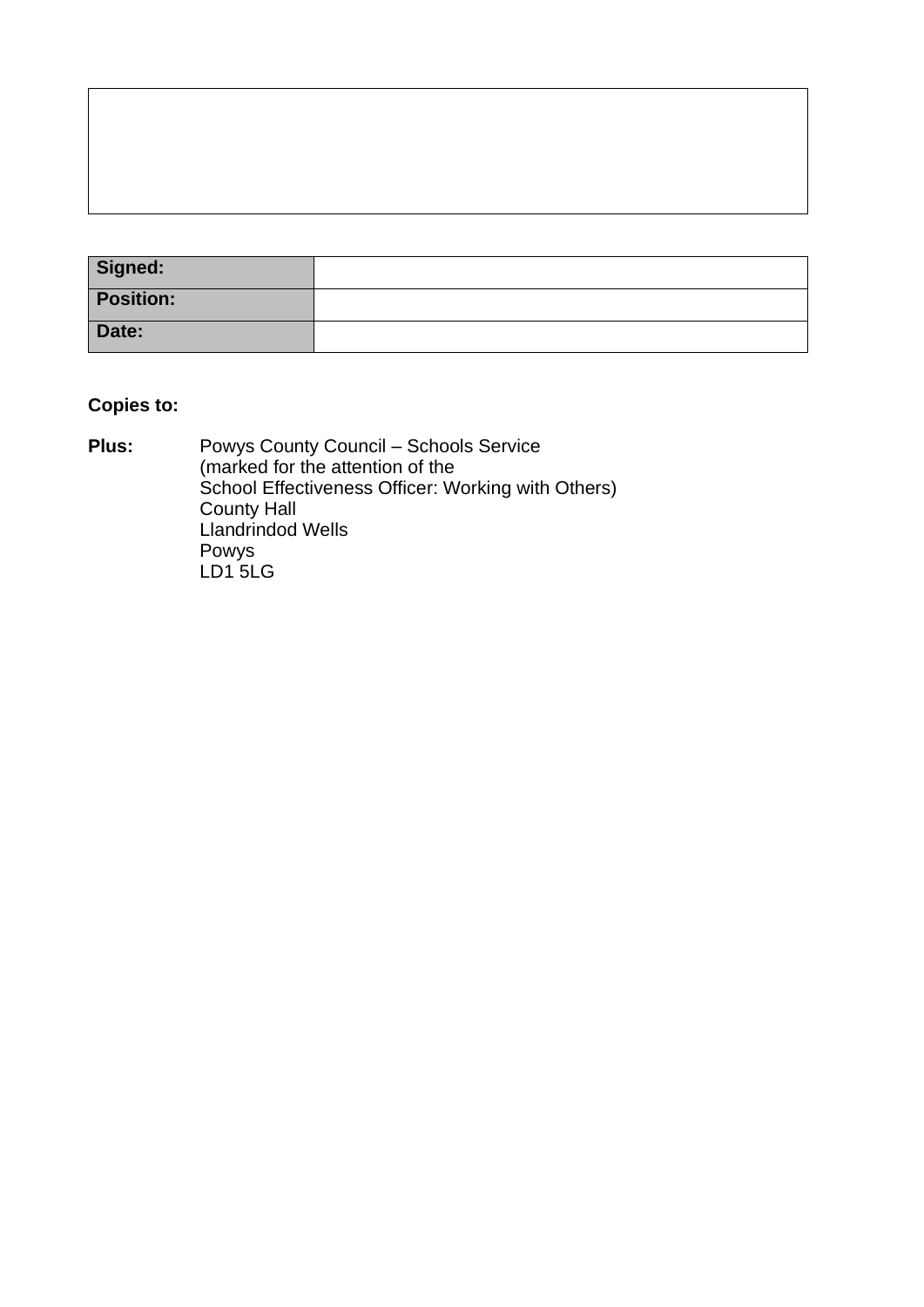| Signed:          |  |
|------------------|--|
| <b>Position:</b> |  |
| Date:            |  |

# **Copies to:**

**Plus:** Powys County Council – Schools Service (marked for the attention of the School Effectiveness Officer: Working with Others) County Hall Llandrindod Wells Powys LD1 5LG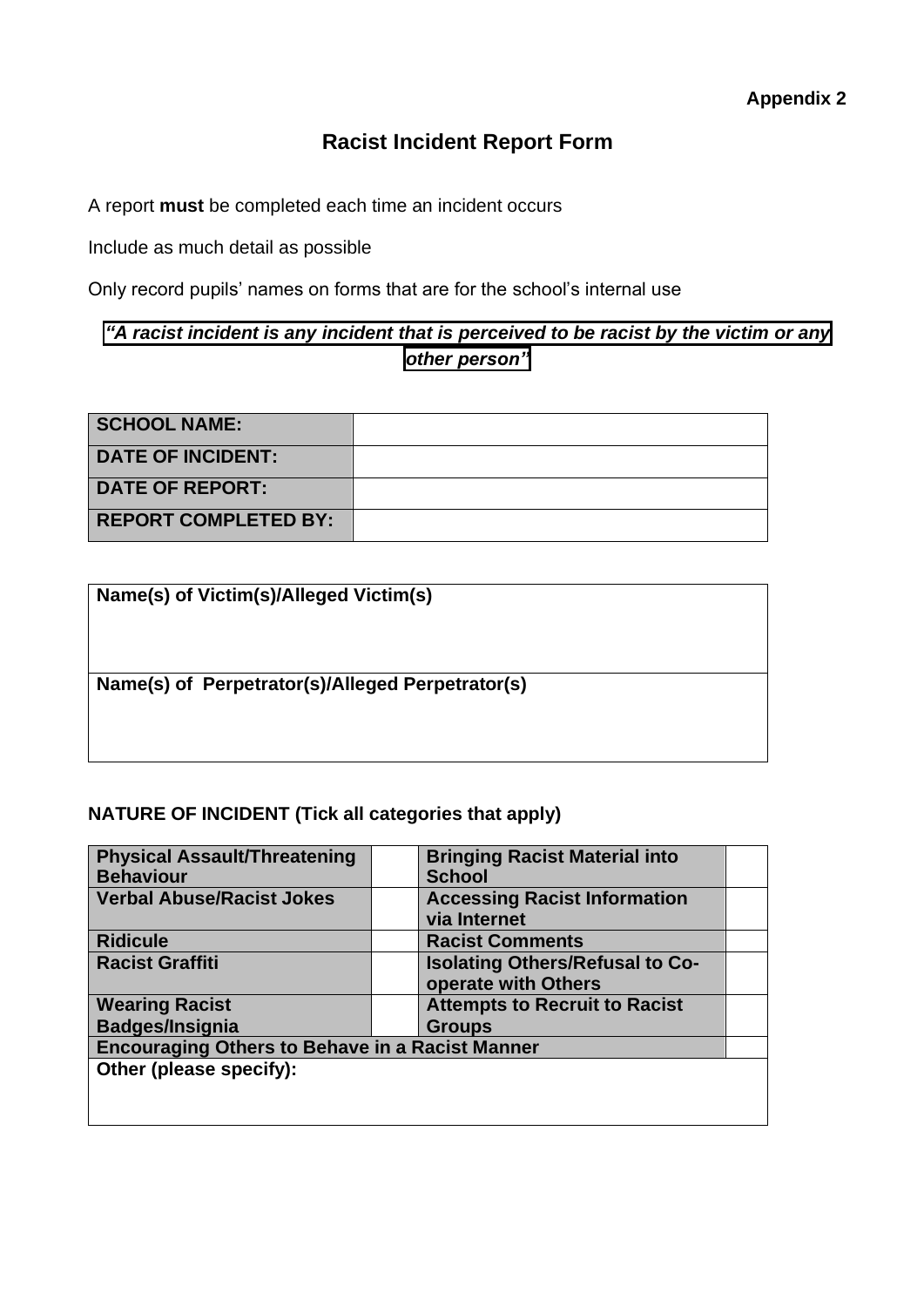# **Racist Incident Report Form**

A report **must** be completed each time an incident occurs

Include as much detail as possible

Only record pupils' names on forms that are for the school's internal use

# *"A racist incident is any incident that is perceived to be racist by the victim or any other person"*

| <b>SCHOOL NAME:</b>         |  |
|-----------------------------|--|
| <b>DATE OF INCIDENT:</b>    |  |
| <b>DATE OF REPORT:</b>      |  |
| <b>REPORT COMPLETED BY:</b> |  |

| Name(s) of Victim(s)/Alleged Victim(s)           |  |
|--------------------------------------------------|--|
| Name(s) of Perpetrator(s)/Alleged Perpetrator(s) |  |
|                                                  |  |

## **NATURE OF INCIDENT (Tick all categories that apply)**

| <b>Physical Assault/Threatening</b><br><b>Behaviour</b> | <b>Bringing Racist Material into</b><br><b>School</b>         |
|---------------------------------------------------------|---------------------------------------------------------------|
| <b>Verbal Abuse/Racist Jokes</b>                        | <b>Accessing Racist Information</b><br>via Internet           |
| <b>Ridicule</b>                                         | <b>Racist Comments</b>                                        |
| <b>Racist Graffiti</b>                                  | <b>Isolating Others/Refusal to Co-</b><br>operate with Others |
| <b>Wearing Racist</b>                                   | <b>Attempts to Recruit to Racist</b>                          |
| <b>Badges/Insignia</b>                                  | <b>Groups</b>                                                 |
| <b>Encouraging Others to Behave in a Racist Manner</b>  |                                                               |
| Other (please specify):                                 |                                                               |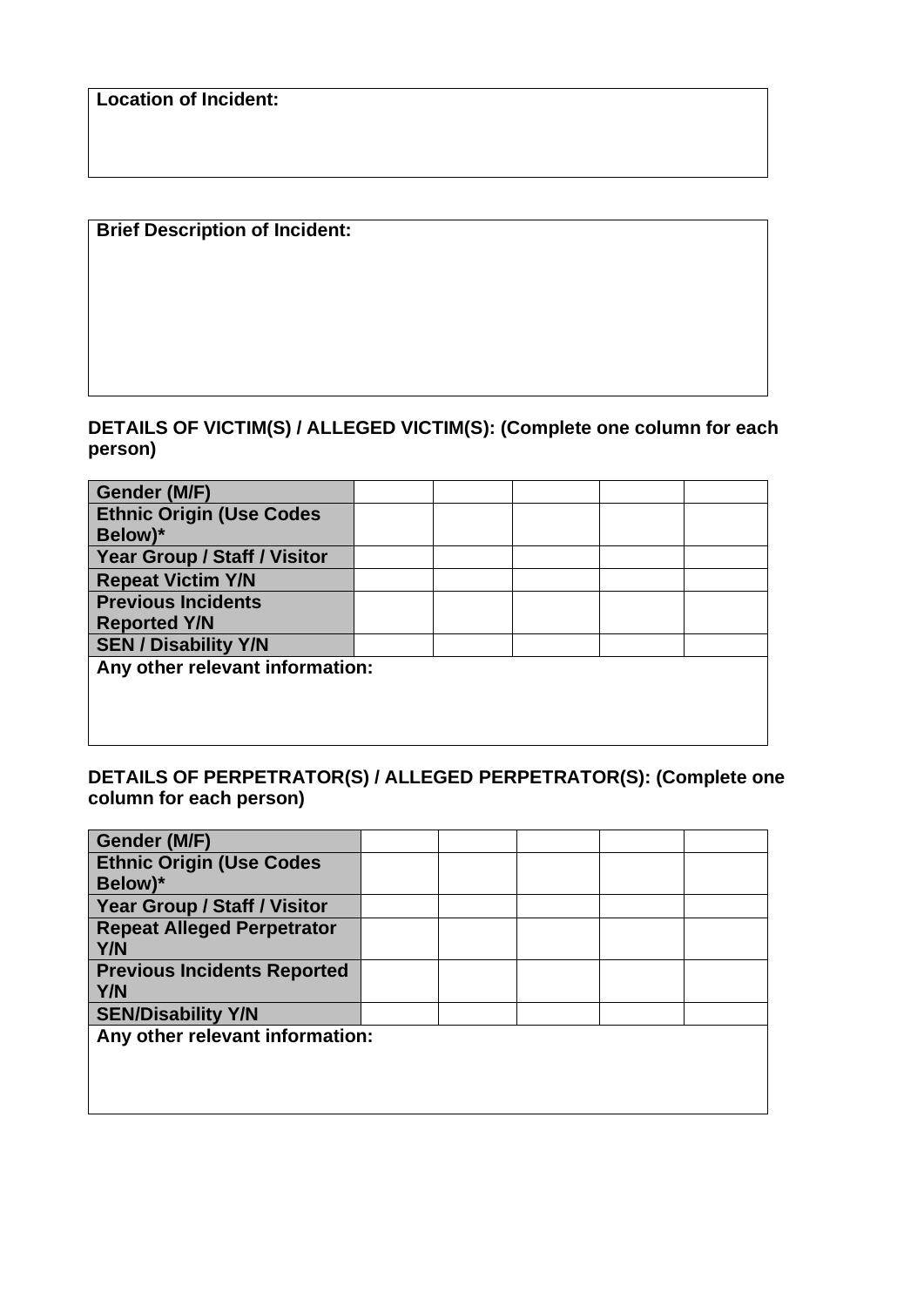**Location of Incident:**

# **Brief Description of Incident:**

## **DETAILS OF VICTIM(S) / ALLEGED VICTIM(S): (Complete one column for each person)**

| Gender (M/F)                    |  |  |  |
|---------------------------------|--|--|--|
| <b>Ethnic Origin (Use Codes</b> |  |  |  |
| Below)*                         |  |  |  |
| Year Group / Staff / Visitor    |  |  |  |
| <b>Repeat Victim Y/N</b>        |  |  |  |
| <b>Previous Incidents</b>       |  |  |  |
| <b>Reported Y/N</b>             |  |  |  |
| <b>SEN / Disability Y/N</b>     |  |  |  |
| Any other relevant information: |  |  |  |
|                                 |  |  |  |
|                                 |  |  |  |
|                                 |  |  |  |

## **DETAILS OF PERPETRATOR(S) / ALLEGED PERPETRATOR(S): (Complete one column for each person)**

| Gender (M/F)                        |  |  |  |
|-------------------------------------|--|--|--|
| <b>Ethnic Origin (Use Codes</b>     |  |  |  |
| Below)*                             |  |  |  |
| <b>Year Group / Staff / Visitor</b> |  |  |  |
| <b>Repeat Alleged Perpetrator</b>   |  |  |  |
| Y/N                                 |  |  |  |
| <b>Previous Incidents Reported</b>  |  |  |  |
| <b>Y/N</b>                          |  |  |  |
| <b>SEN/Disability Y/N</b>           |  |  |  |
| Any other relevant information:     |  |  |  |
|                                     |  |  |  |
|                                     |  |  |  |
|                                     |  |  |  |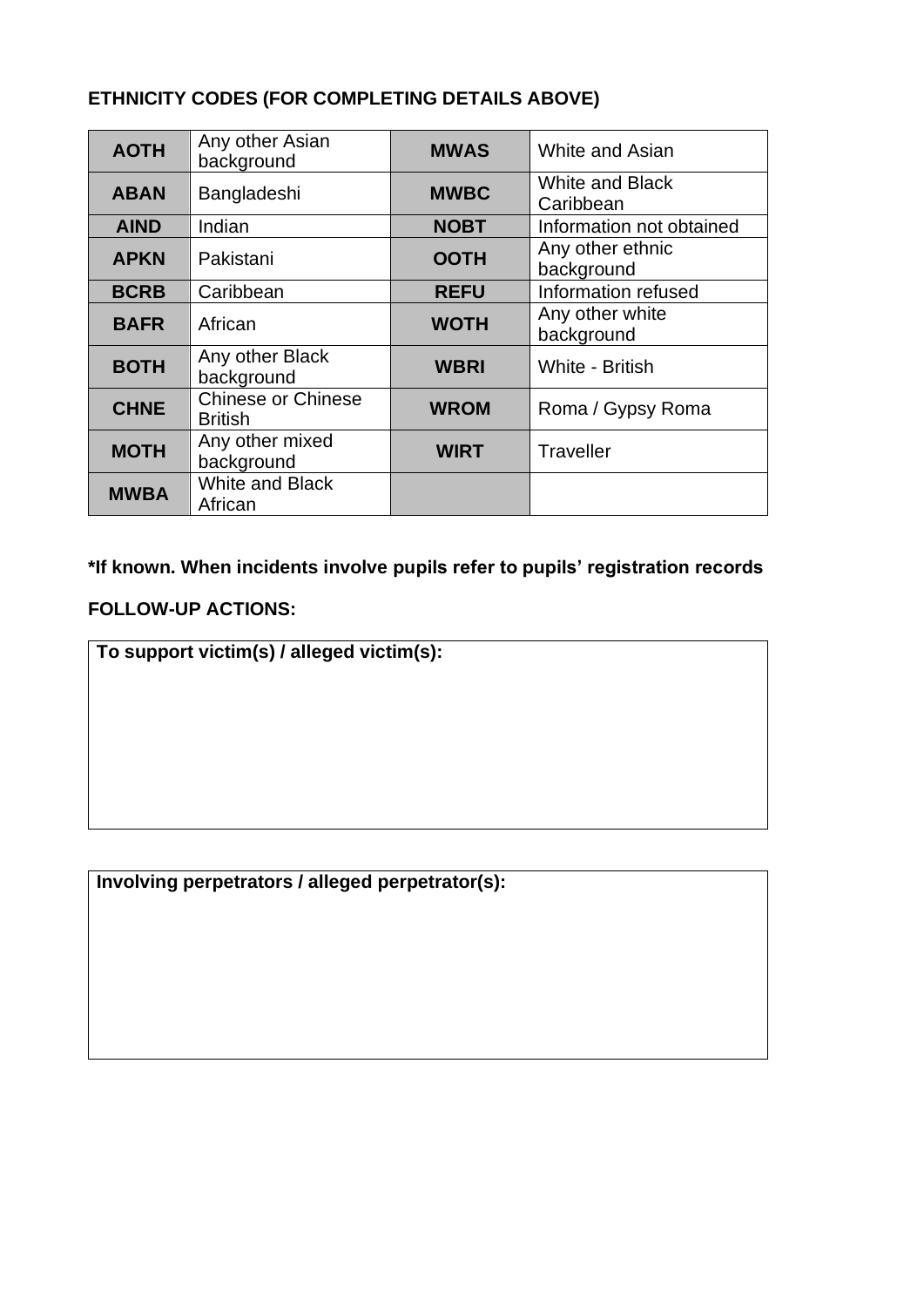# **ETHNICITY CODES (FOR COMPLETING DETAILS ABOVE)**

| <b>AOTH</b> | Any other Asian<br>background               | <b>MWAS</b> | <b>White and Asian</b>              |
|-------------|---------------------------------------------|-------------|-------------------------------------|
| <b>ABAN</b> | Bangladeshi                                 | <b>MWBC</b> | <b>White and Black</b><br>Caribbean |
| <b>AIND</b> | Indian                                      | <b>NOBT</b> | Information not obtained            |
| <b>APKN</b> | Pakistani                                   | <b>OOTH</b> | Any other ethnic<br>background      |
| <b>BCRB</b> | Caribbean                                   | <b>REFU</b> | Information refused                 |
| <b>BAFR</b> | African                                     | <b>WOTH</b> | Any other white<br>background       |
| <b>BOTH</b> | Any other Black<br>background               | <b>WBRI</b> | White - British                     |
| <b>CHNE</b> | <b>Chinese or Chinese</b><br><b>British</b> | <b>WROM</b> | Roma / Gypsy Roma                   |
| <b>MOTH</b> | Any other mixed<br>background               | <b>WIRT</b> | <b>Traveller</b>                    |
| <b>MWBA</b> | <b>White and Black</b><br>African           |             |                                     |

**\*If known. When incidents involve pupils refer to pupils' registration records**

## **FOLLOW-UP ACTIONS:**

**To support victim(s) / alleged victim(s):**

**Involving perpetrators / alleged perpetrator(s):**